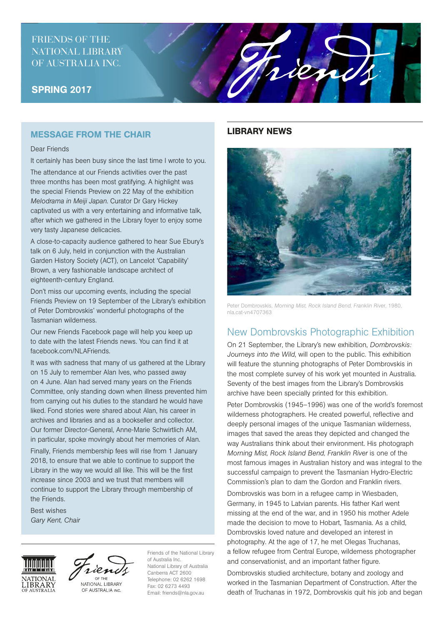# FRIENDS OF THE NATIONAL LIBRARY OF AUSTRALIA INC.

## SPRING 2017

## MESSAGE FROM THE CHAIR

#### Dear Friends

It certainly has been busy since the last time I wrote to you.

The attendance at our Friends activities over the past three months has been most gratifying. A highlight was the special Friends Preview on 22 May of the exhibition *Melodrama in Meiji Japan*. Curator Dr Gary Hickey captivated us with a very entertaining and informative talk, after which we gathered in the Library foyer to enjoy some very tasty Japanese delicacies.

A close-to-capacity audience gathered to hear Sue Ebury's talk on 6 July, held in conjunction with the Australian Garden History Society (ACT), on Lancelot 'Capability' Brown, a very fashionable landscape architect of eighteenth-century England.

Don't miss our upcoming events, including the special Friends Preview on 19 September of the Library's exhibition of Peter Dombrovskis' wonderful photographs of the Tasmanian wilderness.

Our new Friends Facebook page will help you keep up to date with the latest Friends news. You can find it at facebook.com/NLAFriends.

It was with sadness that many of us gathered at the Library on 15 July to remember Alan Ives, who passed away on 4 June. Alan had served many years on the Friends Committee, only standing down when illness prevented him from carrying out his duties to the standard he would have liked. Fond stories were shared about Alan, his career in archives and libraries and as a bookseller and collector. Our former Director-General, Anne-Marie Schwirtlich AM, in particular, spoke movingly about her memories of Alan.

Finally, Friends membership fees will rise from 1 January 2018, to ensure that we able to continue to support the Library in the way we would all like. This will be the first increase since 2003 and we trust that members will continue to support the Library through membership of the Friends.

Best wishes *Gary Kent, Chair*



NATIONAL LIBRARY OF AUSTRALIA INC.

Friends of the National Library of Australia Inc. National Library of Australia Canberra ACT 2600 Telephone: 02 6262 1698 Fax: 02 6273 4493 Email: friends@nla.gov.au

### LIBRARY NEWS



rien

Peter Dombrovskis, *Morning Mist, Rock Island Bend, Franklin Rive*r, 1980, nla.cat-vn4707363

# New Dombrovskis Photographic Exhibition

On 21 September, the Library's new exhibition, *Dombrovskis: Journeys into the Wild*, will open to the public. This exhibition will feature the stunning photographs of Peter Dombrovskis in the most complete survey of his work yet mounted in Australia. Seventy of the best images from the Library's Dombrovskis archive have been specially printed for this exhibition.

Peter Dombrovskis (1945–1996) was one of the world's foremost wilderness photographers. He created powerful, reflective and deeply personal images of the unique Tasmanian wilderness, images that saved the areas they depicted and changed the way Australians think about their environment. His photograph *Morning Mist, Rock Island Bend, Franklin River* is one of the most famous images in Australian history and was integral to the successful campaign to prevent the Tasmanian Hydro-Electric Commission's plan to dam the Gordon and Franklin rivers.

Dombrovskis was born in a refugee camp in Wiesbaden, Germany, in 1945 to Latvian parents. His father Karl went missing at the end of the war, and in 1950 his mother Adele made the decision to move to Hobart, Tasmania. As a child, Dombrovskis loved nature and developed an interest in photography. At the age of 17, he met Olegas Truchanas, a fellow refugee from Central Europe, wilderness photographer and conservationist, and an important father figure.

Dombrovskis studied architecture, botany and zoology and worked in the Tasmanian Department of Construction. After the death of Truchanas in 1972, Dombrovskis quit his job and began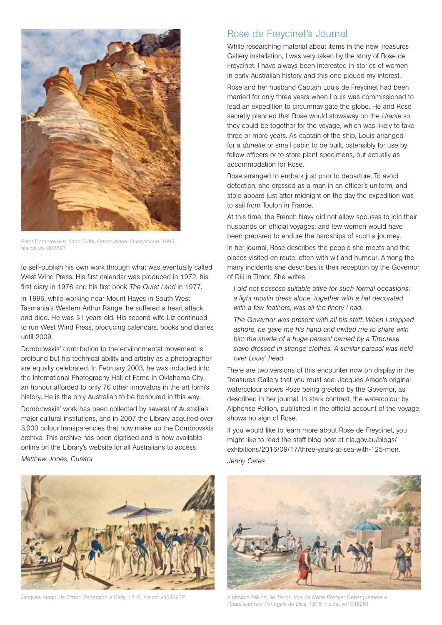

Peter Dombrovskis, *Sand Cliffs, Fraser Island, Queensland*, 1995, nla.cat-vn4802897

to self-publish his own work through what was eventually called West Wind Press. His first calendar was produced in 1972, his first diary in 1976 and his first book *The Quiet Land* in 1977.

In 1996, while working near Mount Hayes in South West Tasmania's Western Arthur Range, he suffered a heart attack and died. He was 51 years old. His second wife Liz continued to run West Wind Press, producing calendars, books and diaries until 2009.

Dombrovskis' contribution to the environmental movement is profound but his technical ability and artistry as a photographer are equally celebrated. In February 2003, he was inducted into the International Photography Hall of Fame in Oklahoma City, an honour afforded to only 76 other innovators in the art form's history. He is the only Australian to be honoured in this way.

Dombrovskis' work has been collected by several of Australia's major cultural institutions, and in 2007 the Library acquired over 3,000 colour transparencies that now make up the Dombrovskis archive. This archive has been digitised and is now available online on the Library's website for all Australians to access.

*Matthew Jones, Curator*



Jacques Arago, *Ile Timor: Reception a Diely*, 1818, nla.cat-vn549972 Alphonse Pellion, *Ile Timor: Vue de Notre Premier Debarquement a* 

## Rose de Freycinet's Journal

While researching material about items in the new Treasures Gallery installation, I was very taken by the story of Rose de Freycinet. I have always been interested in stories of women in early Australian history and this one piqued my interest.

Rose and her husband Captain Louis de Freycinet had been married for only three years when Louis was commissioned to lead an expedition to circumnavigate the globe. He and Rose secretly planned that Rose would stowaway on the *Uranie* so they could be together for the voyage, which was likely to take three or more years. As captain of the ship, Louis arranged for a *dunette* or small cabin to be built, ostensibly for use by fellow officers or to store plant specimens, but actually as accommodation for Rose.

Rose arranged to embark just prior to departure. To avoid detection, she dressed as a man in an officer's uniform, and stole aboard just after midnight on the day the expedition was to sail from Toulon in France.

At this time, the French Navy did not allow spouses to join their husbands on official voyages, and few women would have been prepared to endure the hardships of such a journey.

In her journal, Rose describes the people she meets and the places visited en route, often with wit and humour. Among the many incidents she describes is their reception by the Governor of Dili in Timor. She writes:

*I did not possess suitable attire for such formal occasions; a light muslin dress alone, together with a hat decorated with a few feathers, was all the finery I had.* 

*The Governor was present with all his staff. When I stepped ashore, he gave me his hand and invited me to share with him the shade of a huge parasol carried by a Timorese slave dressed in strange clothes. A similar parasol was held over Louis' head.*

There are two versions of this encounter now on display in the Treasures Gallery that you must see. Jacques Arago's original watercolour shows Rose being greeted by the Governor, as described in her journal. In stark contrast, the watercolour by Alphonse Pellion, published in the official account of the voyage, shows no sign of Rose.

If you would like to learn more about Rose de Freycinet, you might like to read the staff blog post at nla.gov.au/blogs/ exhibitions/2016/09/17/three-years-at-sea-with-125-men. *Jenny Oates*



*l'Etablissement Portugais de Dille*, 1818, nla.cat-vn1046291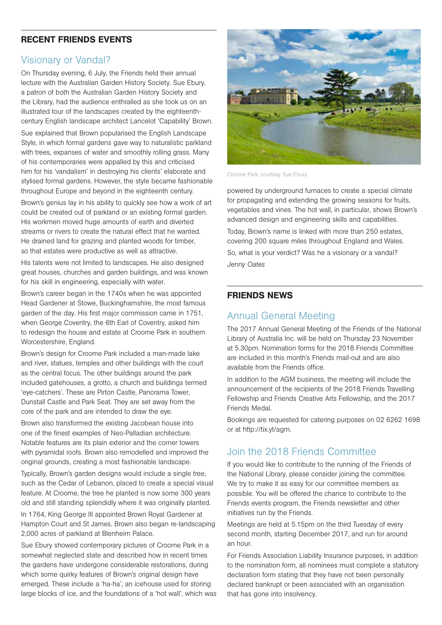## RECENT FRIENDS EVENTS

## Visionary or Vandal?

On Thursday evening, 6 July, the Friends held their annual lecture with the Australian Garden History Society. Sue Ebury, a patron of both the Australian Garden History Society and the Library, had the audience enthralled as she took us on an illustrated tour of the landscapes created by the eighteenthcentury English landscape architect Lancelot 'Capability' Brown.

Sue explained that Brown popularised the English Landscape Style, in which formal gardens gave way to naturalistic parkland with trees, expanses of water and smoothly rolling grass. Many of his contemporaries were appalled by this and criticised him for his 'vandalism' in destroying his clients' elaborate and stylised formal gardens. However, the style became fashionable throughout Europe and beyond in the eighteenth century.

Brown's genius lay in his ability to quickly see how a work of art could be created out of parkland or an existing formal garden. His workmen moved huge amounts of earth and diverted streams or rivers to create the natural effect that he wanted. He drained land for grazing and planted woods for timber, so that estates were productive as well as attractive.

His talents were not limited to landscapes. He also designed great houses, churches and garden buildings, and was known for his skill in engineering, especially with water.

Brown's career began in the 1740s when he was appointed Head Gardener at Stowe, Buckinghamshire, the most famous garden of the day. His first major commission came in 1751, when George Coventry, the 6th Earl of Coventry, asked him to redesign the house and estate at Croome Park in southern Worcestershire, England.

Brown's design for Croome Park included a man-made lake and river, statues, temples and other buildings with the court as the central focus. The other buildings around the park included gatehouses, a grotto, a church and buildings termed 'eye-catchers'. These are Pirton Castle, Panorama Tower, Dunstall Castle and Park Seat. They are set away from the core of the park and are intended to draw the eye.

Brown also transformed the existing Jacobean house into one of the finest examples of Neo-Palladian architecture. Notable features are its plain exterior and the corner towers with pyramidal roofs. Brown also remodelled and improved the original grounds, creating a most fashionable landscape.

Typically, Brown's garden designs would include a single tree, such as the Cedar of Lebanon, placed to create a special visual feature. At Croome, the tree he planted is now some 300 years old and still standing splendidly where it was originally planted.

In 1764, King George III appointed Brown Royal Gardener at Hampton Court and St James. Brown also began re-landscaping 2,000 acres of parkland at Blenheim Palace.

Sue Ebury showed contemporary pictures of Croome Park in a somewhat neglected state and described how in recent times the gardens have undergone considerable restorations, during which some quirky features of Brown's original design have emerged. These include a 'ha-ha', an icehouse used for storing large blocks of ice, and the foundations of a 'hot wall', which was



Croome Park, courtesy Sue Ebury

powered by underground furnaces to create a special climate for propagating and extending the growing seasons for fruits, vegetables and vines. The hot wall, in particular, shows Brown's advanced design and engineering skills and capabilities. Today, Brown's name is linked with more than 250 estates, covering 200 square miles throughout England and Wales. So, what is your verdict? Was he a visionary or a vandal? *Jenny Oates*

### FRIENDS NEWS

# Annual General Meeting

The 2017 Annual General Meeting of the Friends of the National Library of Australia Inc. will be held on Thursday 23 November at 5.30pm. Nomination forms for the 2018 Friends Committee are included in this month's Friends mail-out and are also available from the Friends office.

In addition to the AGM business, the meeting will include the announcement of the recipients of the 2018 Friends Travelling Fellowship and Friends Creative Arts Fellowship, and the 2017 Friends Medal.

Bookings are requested for catering purposes on 02 6262 1698 or at http://tix.yt/agm.

# Join the 2018 Friends Committee

If you would like to contribute to the running of the Friends of the National Library, please consider joining the committee. We try to make it as easy for our committee members as possible. You will be offered the chance to contribute to the Friends events program, the Friends newsletter and other initiatives run by the Friends.

Meetings are held at 5.15pm on the third Tuesday of every second month, starting December 2017, and run for around an hour.

For Friends Association Liability Insurance purposes, in addition to the nomination form, all nominees must complete a statutory declaration form stating that they have not been personally declared bankrupt or been associated with an organisation that has gone into insolvency.